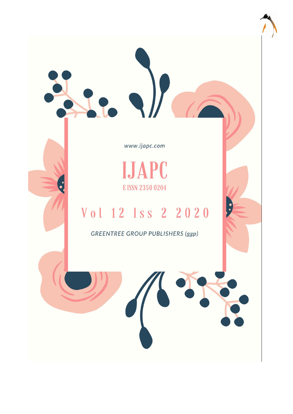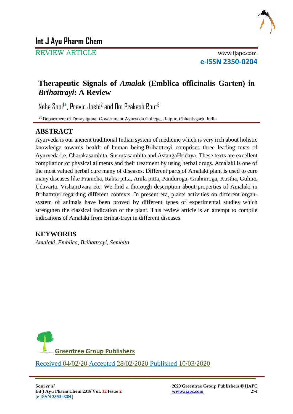

REVIEW ARTICLE www.ijapc.com

**e-ISSN 2350-0204**

# **Therapeutic Signals of** *Amalak* **(Emblica officinalis Garten) in**  *Brihattrayi***: A Review**

Neha Soni<sup>l\*</sup>, Pravin Joshi<sup>2</sup> and Om Prakash Rout<sup>3</sup>

<sup>1-3</sup>Department of Dravyaguna, Government Ayurveda College, Raipur, Chhattisgarh, India

# **ABSTRACT**

Ayurveda is our ancient traditional Indian system of medicine which is very rich about holistic knowledge towards health of human being.Brihatttrayi comprises three leading texts of Ayurveda i.e, Charakasamhita, Susrutasamhita and AstangaHridaya. These texts are excellent compilation of physical ailments and their treatment by using herbal drugs. Amalaki is one of the most valued herbal cure many of diseases. Different parts of Amalaki plant is used to cure many diseases like Prameha, Rakta pitta, Amla pitta, Panduroga, Grahniroga, Kustha, Gulma, Udavarta, VishamJvara etc. We find a thorough description about properties of Amalaki in Brihattrayi regarding different contexts. In present era, plants activities on different organsystem of animals have been proved by different types of experimental studies which strengthen the classical indication of the plant. This review article is an attempt to compile indications of Amalaki from Brihat-trayi in different diseases.

# **KEYWORDS**

*Amalaki, Emblica, Brihattrayi, Samhita*



\_\_\_\_\_\_\_\_\_\_\_\_\_\_\_\_\_\_\_\_\_\_\_\_\_\_\_\_\_\_\_\_\_\_\_\_\_\_\_\_\_\_\_\_\_\_\_\_\_\_\_\_\_\_\_\_\_\_\_\_\_\_\_\_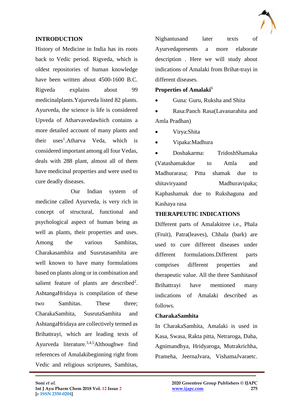

### **INTRODUCTION**

History of Medicine in India has its roots back to Vedic period. Rigveda, which is oldest repositories of human knowledge have been written about 4500-1600 B.C. Rigveda explains about 99 medicinalplants.Yajurveda listed 82 plants. Ayurveda, the science is life is considered Upveda of Atharvavedawhich contains a more detailed account of many plants and their uses<sup>1</sup>.Atharva Veda, which is considered important among all four Vedas, deals with 288 plant, almost all of them have medicinal properties and were used to cure deadly diseases.

Our Indian system of medicine called Ayurveda, is very rich in concept of structural, functional and psychological aspect of human being as well as plants, their properties and uses. Among the various Samhitas, Charakasamhita and Susrutasamhita are well known to have many formulations based on plants along or in combination and salient feature of plants are described<sup>2</sup>. AshtangaHridaya is compilation of these two Samhitas. These three; CharakaSamhita, SusrutaSamhita and AshtangaHridaya are collectively termed as Brihattrayi, which are leading texts of Ayurveda literature.3,4,5Althoughwe find references of Amalakibeginning right from Vedic and religious scriptures, Samhitas,

Nighantusand later texts of Ayurvedapresents a more elaborate description . Here we will study about indications of Amalaki from Brihat-trayi in different diseases.

#### **Properties of Amalaki**<sup>6</sup>

Guna: Guru, Ruksha and Shita

 Rasa:Panch Rasa(Lavanarahita and Amla Pradhan)

Virya:Shita

Vipaka:Madhura

 Doshakarma: TridoshShamaka (Vatashamakdue to Amla and Madhurarasa; Pitta shamak due to shitaviryaand Madhuravipaka; Kaphashamak due to Rukshaguna and Kashaya rasa

### **THERAPEUTIC INDICATIONS**

Different parts of Amalakitree i.e., Phala (Fruit), Patra(leaves), Chhala (bark) are used to cure different diseases under different formulations.Different parts comprises different properties and therapeutic value. All the three Samhitasof Brihattrayi have mentioned many indications of Amalaki described as follows.

### **CharakaSamhita**

 $\mathcal{L}_\mathcal{L}$  , and the contribution of the contribution of the contribution of the contribution of the contribution of the contribution of the contribution of the contribution of the contribution of the contribution of

In CharakaSamhita, Amalaki is used in Kasa, Swasa, Rakta pitta, Netraroga, Daha, Agnimandhya, Hridyaroga, Mutrakrichha, Prameha, JeernaJvara, VishamaJvaraetc.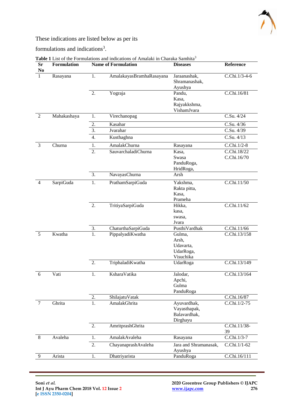

### These indications are listed below as per its

formulations and indications<sup>3</sup>.

| <b>Sr</b><br>No | <b>Formulation</b> |                  | <b>Name of Formulation</b> | <b>Diseases</b>                                         | Reference                  |
|-----------------|--------------------|------------------|----------------------------|---------------------------------------------------------|----------------------------|
|                 | Rasayana           | 1.               | AmalakayasBramhaRasayana   | Jaraanashak,<br>Shramanashak,<br>Ayushya                | C.Chi.1/3-4-6              |
|                 |                    | $\overline{2}$ . | Yograja                    | Pandu,<br>Kasa,<br>Rajyakkshma,<br>VishamJvara          | C.Chi.16/81                |
| 2               | Mahakashaya        | 1.               | Virechanopag               |                                                         | C.Su. 4/24                 |
|                 |                    | 2.               | Kasahar                    |                                                         | C.Su. 4/36                 |
|                 |                    | $\overline{3}$ . | Jvarahar                   |                                                         | C.Su. 4/39                 |
|                 |                    | 4.               | Kusthaghna                 |                                                         | C.Su. 4/13                 |
| 3               | Churna             | 1.               | AmalakChurna               | Rasayana                                                | C.Chi.1/2-8                |
|                 |                    | 2.               | SauvarchaladiChurna        | Kasa,<br>Swasa<br>PanduRoga,<br>HridRoga,               | C.Chi.18/22<br>C.Chi.16/70 |
|                 |                    | 3.               | NavayasChurna              | Arsh                                                    |                            |
| $\overline{4}$  | SarpiGuda          | 1.               | PrathamSarpiGuda           | Yakshma,<br>Rakta pitta,<br>Kasa,<br>Prameha            | C.Chi.11/50                |
|                 |                    | 2.               | TritiyaSarpiGuda           | Hikka,<br>kasa,<br>swasa,<br>Jvara                      | C.Chi.11/62                |
|                 |                    | 3.               | ChaturthaSarpiGuda         | PusthiVardhak                                           | C.Chi.11/66                |
| 5               | Kwatha             | 1.               | PippalyadiKwatha           | Gulma,<br>Arsh,<br>Udavarta,<br>UdarRoga,<br>Visuchika  | C.Chi.13/158               |
|                 |                    | $\overline{2}$ . | TriphaladiKwatha           | UdarRoga                                                | C.Chi.13/149               |
| 6               | Vati               | 1.               | <b>KsharaVatika</b>        | Jalodar,<br>Apchi,<br>Gulma<br>PanduRoga                | C.Chi.13/164               |
|                 |                    | 2.               | ShilajatuVatak             |                                                         | C.Chi.16/87                |
| $\overline{7}$  | Ghrita             | $\overline{1}$ . | AmalakGhrita               | Ayuvardhak,<br>Vayasthapak,<br>Balavardhak,<br>Dirghayu | C.Chi.1/2-75               |
|                 |                    | 2.               | AmritprashGhrita           |                                                         | C.Chi.11/38-<br>39         |
| 8               | Avaleha            | 1.               | AmalakAvaleha              | Rasayana                                                | C.Chi.1/3-7                |
|                 |                    | 2.               | ChayanaprashAvaleha        | Jara and Shramanasak,<br>Ayushya                        | C.Chi.1/1-62               |
| 9               | Arista             | 1.               | Dhatriyarista              | PanduRoga                                               | C.Chi.16/111               |
|                 |                    |                  |                            |                                                         |                            |

Table 1 List of the Formulations and indications of Amalaki in Charaka Samhita<sup>3</sup>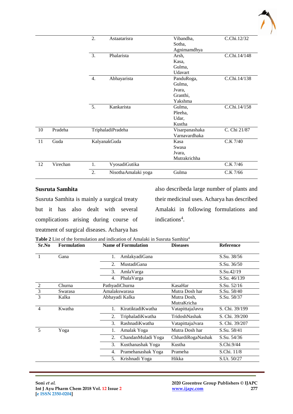

|    |          | $\overline{2}$ . | Astaatarisra        | Vibandha,      | C.Chi.12/32  |
|----|----------|------------------|---------------------|----------------|--------------|
|    |          |                  |                     | Sotha,         |              |
|    |          |                  |                     | Agnimamdhya    |              |
|    |          | 3.               | Phalarista          | Arsh,          | C.Chi.14/148 |
|    |          |                  |                     | Kasa,          |              |
|    |          |                  |                     | Gulma.         |              |
|    |          |                  |                     | Udavart        |              |
|    |          | 4.               | Abhayarista         | PanduRoga,     | C.Chi.14/138 |
|    |          |                  |                     | Gulma,         |              |
|    |          |                  |                     | Jvara,         |              |
|    |          |                  |                     | Granthi,       |              |
|    |          |                  |                     | Yakshma        |              |
|    |          | 5.               | Kankarista          | Gulma,         | C.Chi.14/158 |
|    |          |                  |                     | Pleeha,        |              |
|    |          |                  |                     | Udar,          |              |
|    |          |                  |                     | Kustha         |              |
| 10 | Pradeha  |                  | TriphaladiPradeha   | Visarpanashaka | C. Chi 21/87 |
|    |          |                  |                     | Varnavardhaka  |              |
| 11 | Guda     |                  | KalyanakGuda        | Kasa           | C.K 7/40     |
|    |          |                  |                     | Swasa          |              |
|    |          |                  |                     | Jvara,         |              |
|    |          |                  |                     | Mutrakrichha   |              |
| 12 | Virechan | 1.               | VyosadiGutika       |                | C.K 7/46     |
|    |          | 2.               | NisothaAmalaki yoga | Gulma          | C.K 7/66     |

#### **Susruta Samhita**

Susruta Samhita is mainly a surgical treaty but it has also dealt with several complications arising during course of treatment of surgical diseases. Acharya has

also describeda large number of plants and their medicinal uses. Acharya has described Amalaki in following formulations and indications<sup>4</sup>.

**Table 2** List of the formulation and indication of Amalaki in Susruta Samhita<sup>4</sup>

| Sr.No          | <b>Formulation</b> | <b>Name of Formulation</b> | <b>Diseases</b>   | <b>Reference</b> |
|----------------|--------------------|----------------------------|-------------------|------------------|
|                | Gana               | AmlakyadiGana<br>1.        |                   | S.Su. 38/56      |
|                |                    | MustadiGana<br>2.          |                   | S.Su. 36/50      |
|                |                    | 3.<br>AmlaVarga            |                   | S.Su.42/19       |
|                |                    | PhalaVarga<br>4.           |                   | S.Su. 46/139     |
| $\overline{2}$ | Churna             | PathyadiChurna             | KasaHar           | S.Su. 52/16      |
| $\overline{3}$ | Swarasa            | Amalakswarasa              | Mutra Dosh har    | S.Su. 58/40      |
| 3              | Kalka              | Abhayadi Kalka             | Mutra Dosh,       | S.Su. 58/37      |
|                |                    |                            | MutraKricha       |                  |
| 4              | Kwatha             | KiratiktadiKwatha<br>1.    | VatapittajaJavra  | S. Chi. 39/199   |
|                |                    | 2.<br>TriphaladiKwatha     | TridoshNashak     | S. Chi. 39/200   |
|                |                    | RashnadiKwatha<br>3.       | VatapittajaJvara  | S. Chi. 39/207   |
| $\overline{5}$ | Yoga               | Amalak Yoga<br>1.          | Mutra Dosh har    | S.Su. 58/41      |
|                |                    | 2.<br>ChandanMuladi Yoga   | ChhardiRogaNashak | S.Su. 54/36      |
|                |                    | 3.<br>Kusthanashak Yoga    | Kustha            | S.Chi.9/44       |
|                |                    | Pramehanashak Yoga<br>4.   | Prameha           | S.Chi. 11/8      |
|                |                    | 5.<br>Krishnadi Yoga       | Hikka             | S.Ut. 50/27      |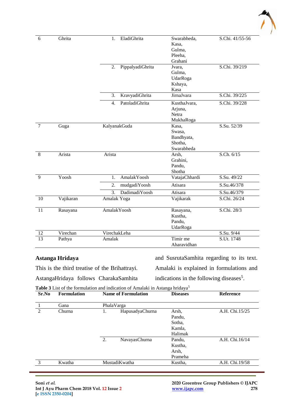

| 6               | Ghrita    | EladiGhrita<br>1.                  | Swarabheda,   | S.Chi. 41/55-56 |
|-----------------|-----------|------------------------------------|---------------|-----------------|
|                 |           |                                    | Kasa,         |                 |
|                 |           |                                    | Gulma,        |                 |
|                 |           |                                    | Pleeha,       |                 |
|                 |           |                                    | Grahani       |                 |
|                 |           | PippalyadiGhrita<br>2.             | Jvara,        | S.Chi. 39/219   |
|                 |           |                                    | Gulma,        |                 |
|                 |           |                                    | UdarRoga      |                 |
|                 |           |                                    | Kshaya,       |                 |
|                 |           |                                    | Kasa          |                 |
|                 |           | 3.<br>KravyadiGhrita               | JirnaJvara    | S.Chi. 39/225   |
|                 |           | PatoladiGhrita<br>$\overline{4}$ . | KusthaJvara,  | S.Chi. 39/228   |
|                 |           |                                    | Arjuna,       |                 |
|                 |           |                                    | Netra         |                 |
|                 |           |                                    | MukhaRoga     |                 |
| $\overline{7}$  | Guga      | KalyanakGuda                       | Kasa,         | S.Su. 52/39     |
|                 |           |                                    | Swasa,        |                 |
|                 |           |                                    | Bandhyata,    |                 |
|                 |           |                                    | Shotha,       |                 |
|                 |           |                                    | Swarabheda    |                 |
| 8               | Arista    | Arista                             | Arsh,         | S.Ch. 6/15      |
|                 |           |                                    | Grahini,      |                 |
|                 |           |                                    | Pandu,        |                 |
|                 |           |                                    | Shotha        |                 |
| 9               | Yoosh     | AmalakYoosh<br>1.                  | VatajaChhardi | S.Su. 49/22     |
|                 |           | 2.<br>mudgadiYoosh                 | Atisara       | S.Su.46/378     |
|                 |           | DadimadiYoosh<br>$\overline{3}$ .  | Atisara       | S.Su.46/379     |
| 10              | Vajikaran | Amalak Yoga                        | Vajikarak     | S.Chi. 26/24    |
| 11              | Rasayana  | <b>AmalakYoosh</b>                 | Rasayana,     | S.Chi. 28/3     |
|                 |           |                                    | Kustha,       |                 |
|                 |           |                                    | Pandu,        |                 |
|                 |           |                                    | UdarRoga      |                 |
| 12              | Virechan  | VirechakLeha                       |               | S.Su. 9/44      |
| $\overline{13}$ | Pathya    | Amalak                             | Timir me      | S.Ut. 1748      |
|                 |           |                                    | Aharavidhan   |                 |

### **Astanga Hridaya**

This is the third treatise of the Brihattrayi.

AstangaHridaya follows CharakaSamhita

and SusrutaSamhita regarding to its text. Amalaki is explained in formulations and indications in the following diseases<sup>5</sup>.

**Table 3** List of the formulation and indication of Amalaki in Astanga hridaya<sup>5</sup>

| Sr.No         | <b>Formulation</b> | <b>Name of Formulation</b> | <b>Diseases</b>                                | <b>Reference</b> |
|---------------|--------------------|----------------------------|------------------------------------------------|------------------|
|               | Gana               | PhalaVarga                 |                                                |                  |
| $\mathcal{L}$ | Churna             | HapusadyaChurna<br>1.      | Arsh,<br>Pandu,<br>Sotha,<br>Kamla.<br>Halimak | A.H. Chi.15/25   |
|               |                    | 2.<br>NavayasChurna        | Pandu,<br>Kustha,<br>Arsh,<br>Prameha          | A.H. Chi.16/14   |
| 3             | Kwatha             | MustadiKwatha              | Kustha,                                        | A.H. Chi.19/58   |

**Soni** *et al.* **2020 Greentree Group Publishers © IJAPC**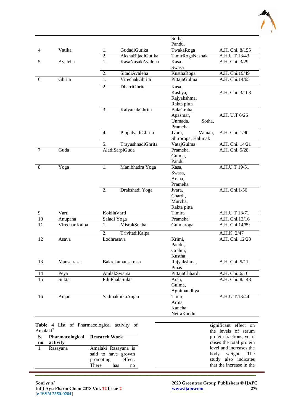

|        |               |                  |                     | Sotha,<br>Pandu,                                       |                 |
|--------|---------------|------------------|---------------------|--------------------------------------------------------|-----------------|
| 4      | Vatika        | 1.               | GudadiGutika        | TwakaRoga                                              | A.H. Chi. 8/155 |
|        |               | 2.               | AkshaBijadiGutika   | TimirRogaNashak                                        | A.H.U.T.13/43   |
| 5      | Avaleha       | 1.               | KasaNasakAvaleha    | Kasa,                                                  | A.H. Chi. 3/29  |
|        |               |                  |                     | Swasa                                                  |                 |
|        |               | 2.               | SitadiAvaleha       | KusthaRoga                                             | A.H. Chi.19/49  |
| 6      | Ghrita        | 1.               | VirechakGhrita      | PittajaGulma                                           | A.H. Chi.14/65  |
|        |               | $\overline{2}$ . | <b>DhatriGhrita</b> | Kasa,<br>Kashya,<br>Rajyakshma,<br>Rakta pitta         | A.H. Chi. 3/108 |
|        |               | 3.               | KalyanakGhrita      | BalaGraha,<br>Apasmar,<br>Unmada,<br>Sotha,<br>Prameha | A.H. U.T 6/26   |
|        |               | 4.               | PippalyadiGhrita    | Vaman,<br>Jvara,<br>Shiroroga, Halimak                 | A.H. Chi. 1/90  |
|        |               | 5.               | TrayushnadiGhrita   | VatajGulma                                             | A.H. Chi. 14/21 |
| $\tau$ | Guda          |                  | AladiSarpiGuda      | Prameha,                                               | A.H. Chi. 5/28  |
|        |               |                  |                     | Gulma,<br>Pandu                                        |                 |
| 8      | Yoga          | 1.               | Manibhadra Yoga     | Kasa,<br>Swasa,<br>Arsha,<br>Prameha                   | A.H.U.T 19/51   |
|        |               | 2.               | Drakshadi Yoga      | Jvara,<br>Chardi,<br>Murcha,<br>Rakta pitta            | A.H. Chi.1/56   |
| 9      | Varti         |                  | KokilaVarti         | Timira                                                 | A.H.U.T 13/71   |
| 10     | Anupana       |                  | Saladi Yoga         | Prameha                                                | A.H. Chi.12/16  |
| 11     | VirechanKalpa | 1.               | MisrakSneha         | Gulmaroga                                              | A.H. Chi.14/89  |
|        |               | 2.               | TrivitadiKalpa      |                                                        | A.H.K. 2/47     |
| 12     | Asava         |                  | Lodhrasava          | Krimi,<br>Pandu,<br>Grahni,<br>Kustha                  | A.H. Chi. 12/28 |
| 13     | Mansa rasa    |                  | Bakrekamansa rasa   | Rajyakshma,<br>Pinas                                   | A.H. Chi. 5/11  |
| 14     | Peya          |                  | AmlakSwarsa         | PittajaChhardi                                         | A.H. Chi. 6/16  |
| 15     | Sukta         |                  | PiluPhalaSukta      | Arsh,<br>Gulma,<br>Agnimandhya                         | A.H. Chi. 8/148 |
| 16     | Anjan         |                  | SadmakhikaAnjan     | Timir,<br>Arma,<br>Kancha,<br>NetraKandu               | A.H.U.T.13/44   |

|                        |                        | <b>Table 4</b> List of Pharmacological activity of | significant effect on     |
|------------------------|------------------------|----------------------------------------------------|---------------------------|
| Amalaki <sup>7</sup>   |                        |                                                    | the levels of serum       |
| S.                     | <b>Pharmacological</b> | <b>Research Work</b>                               | protein fractions, yet it |
| $\mathbf{n}\mathbf{o}$ | activity               |                                                    | raises the total protein  |
|                        | Rasayana               | Amalaki Rasayana is                                | level and increases the   |
|                        |                        | said to have growth                                | body weight. The          |
|                        |                        | promoting<br>effect.                               | study also indicates      |
|                        |                        | There<br>has<br>no                                 | that the increase in the  |
|                        |                        |                                                    |                           |
|                        |                        |                                                    |                           |

**Soni** *et al.* **2020 Greentree Group Publishers © IJAPC**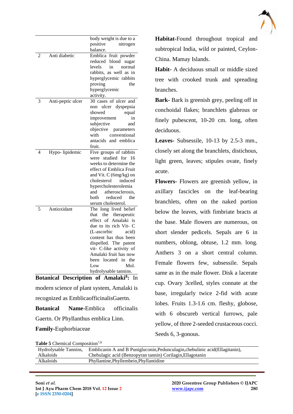

|   |                    | body weight is due to a                       |
|---|--------------------|-----------------------------------------------|
|   |                    | positive<br>nitrogen                          |
|   |                    | balance.                                      |
| 2 | Anti diabetic      | Emblica fruit powder                          |
|   |                    | reduced<br>blood<br>sugar                     |
|   |                    | levels<br>in<br>normal                        |
|   |                    | rabbits, as well as in                        |
|   |                    | hyperglycemic rabbits                         |
|   |                    | proving<br>the                                |
|   |                    | hyperglycemic                                 |
|   |                    | activity.                                     |
| 3 | Anti-peptic ulcer  | 30 cases of ulcer and                         |
|   |                    | ulcer dyspepsia<br>non                        |
|   |                    | showed<br>equal                               |
|   |                    | improvement<br>in                             |
|   |                    | subjective<br>and                             |
|   |                    | objective<br>parameters                       |
|   |                    | with<br>conventional                          |
|   |                    | antacids and emblica                          |
|   |                    | fruit.                                        |
| 4 |                    |                                               |
|   | Hypo-lipidemic     | Five groups of rabbits<br>studied for<br>16   |
|   |                    | were<br>weeks to determine the                |
|   |                    | effect of Emblica Fruit                       |
|   |                    |                                               |
|   |                    | and Vit. C (6mg/kg) on<br>cholesterol induced |
|   |                    |                                               |
|   |                    | hypercholesterolemia                          |
|   |                    | atherosclerosis,<br>and                       |
|   |                    | both<br>reduced<br>the                        |
|   |                    | serum cholesterol.                            |
| 5 | Antioxidant        | The long lived belief                         |
|   |                    | that the therapeutic                          |
|   |                    | effect of Amalaki is                          |
|   |                    | due to its rich Vit- C                        |
|   |                    | (L-ascorbic<br>acid)                          |
|   |                    | content has thus been                         |
|   |                    | dispelled. The patent                         |
|   |                    | vit- C-like activity of                       |
|   |                    | Amalaki fruit has now                         |
|   |                    | located in<br>the<br>been                     |
|   |                    | Low<br>Mol.                                   |
|   |                    | hydrolysable tannins.                         |
|   | L.<br>$\mathbf{I}$ | $\epsilon$ of Amelei-1.<br>Т.                 |

**Botanical Description of Amalaki<sup>8</sup> :** In

modern science of plant system, Amalaki is recognized as EmblicaofficinalisGaertn.

**Botanical Name-**Emblica officinalis Gaertn. Or Phyllanthus emblica Linn.

#### **Family-**Euphorbiaceae

**Habitat-**Found throughout tropical and subtropical India, wild or painted, Ceylon-China. Mamay Islands.

**Habit-** A deciduous small or middle sized tree with crooked trunk and spreading branches.

**Bark-** Bark is greenish grey, peeling off in conchoidal flakes; branchlets glabrous or finely pubescent, 10-20 cm. long, often deciduous.

**Leaves-** Subsessile, 10-13 by 2.5-3 mm., closely set along the branchlets, distichous, light green, leaves; stipules ovate, finely acute.

**Flowers-** Flowers are greenish yellow, in axillary fascicles on the leaf-bearing branchlets, often on the naked portion below the leaves, with fimbriate bracts at the base. Male flowers are numerous, on short slender pedicels. Sepals are 6 in numbers, oblong, obtuse, 1.2 mm. long. Anthers 3 on a short central column. Female flowers few, subsessile. Sepals same as in the male flower. Disk a lacerate cup. Ovary 3celled, styles connate at the base, irregularly twice 2-fid with acute lobes. Fruits 1.3-1.6 cm. fleshy, globose, with 6 obscureb vertical furrows, pale yellow, of three 2-seeded crustaceous cocci. Seeds 6, 3-gonous.

| Table 5 Chemical Composition <sup>7,8</sup> |
|---------------------------------------------|
|---------------------------------------------|

| <b>Table 5</b> Chemical Composition |                                                                               |  |  |  |
|-------------------------------------|-------------------------------------------------------------------------------|--|--|--|
| Hydrolysable Tannins,               | Emblicanin A and B Punigluconin, Pedunculagin, chebulinic acid (Ellagitanin), |  |  |  |
| Alkaloids                           | Chebulagic acid (Benzopyran tannin) Corilagin, Ellagotanin                    |  |  |  |
| Alkaloids                           | Phyllantine, Phyllembein, Phyllantidine                                       |  |  |  |
|                                     |                                                                               |  |  |  |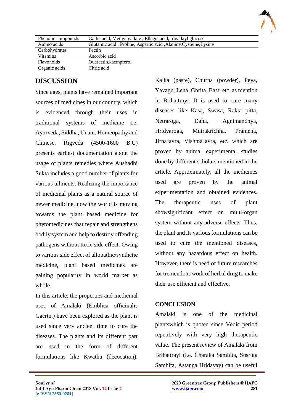

| Phenolic compounds | Gallic acid, Methyl gallate, Ellagic acid, trigallayl glucose    |
|--------------------|------------------------------------------------------------------|
| Amino acids        | Glutamic acid, Proline, Aspartic acid, Alanine, Cysteine, Lysine |
| Carbohydrates      | Pectin                                                           |
| Vitamins           | Ascorbic acid                                                    |
| Flavonoids         | Quercetin, kaempferol                                            |
| Organic acids      | Citric acid                                                      |

# **DISCUSSION**

Since ages, plants have remained important sources of medicines in our country, which is evidenced through their uses in traditional systems of medicine i.e. Ayurveda, Siddha, Unani, Homeopathy and Chinese. Rigveda (4500-1600 B.C) presents earliest documentation about the usage of plants remedies where Aushadhi Sukta includes a good number of plants for various ailments. Realizing the importance of medicinal plants as a natural source of newer medicine, now the world is moving towards the plant based medicine for phytomedicines that repair and strengthens bodily system and help to destroy offending pathogens without toxic side effect. Owing to various side effect of allopathic/synthetic medicine, plant based medicines are gaining popularity in world market as whole.

In this article, the properties and medicinal uses of Amalaki (Emblica officinalis Gaertn.) have been explored as the plant is used since very ancient time to cure the diseases. The plants and its different part are used in the form of different formulations like Kwatha (decocation), Kalka (paste), Churna (powder), Peya, Yavagu, Leha, Ghrita, Basti etc. as mention in Brihattrayi. It is used to cure many diseases like Kasa, Swasa, Rakta pitta, Netraroga, Daha, Agnimandhya, Hridyaroga, Mutrakrichha, Prameha, JirnaJavra, VishmaJavra, etc. which are proved by animal experimental studies done by different scholars mentioned in the article. Approximately, all the medicines used are proven by the animal experimentation and obtained evidences. The therapeutic uses of plant showsignificant effect on multi-organ system without any adverse effects. Thus, the plant and its various formulations can be used to cure the mentioned diseases, without any hazardous effect on health. However, there is need of future researches for tremendous work of herbal drug to make their use efficient and effective.

### **CONCLUSION**

 $\mathcal{L}_\mathcal{L}$  , and the contribution of the contribution of the contribution of the contribution of the contribution of the contribution of the contribution of the contribution of the contribution of the contribution of

Amalaki is one of the medicinal plantswhich is quoted since Vedic period repetitively with very high therapeutic value. The present review of Amalaki from Brihattrayi (i.e. Charaka Samhita, Susruta Samhita, Astanga Hridayay) can be useful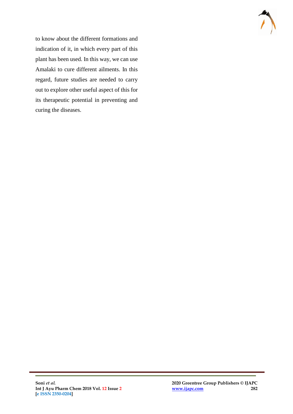

to know about the different formations and indication of it, in which every part of this plant has been used. In this way, we can use Amalaki to cure different ailments. In this regard, future studies are needed to carry out to explore other useful aspect of this for its therapeutic potential in preventing and curing the diseases.